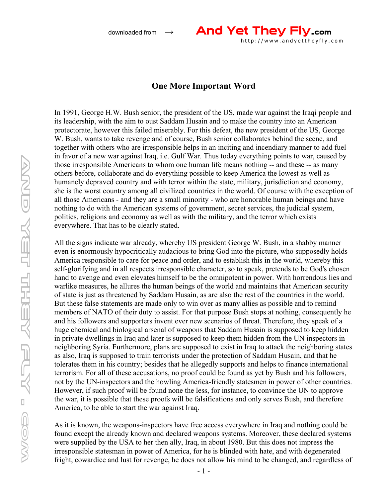

## **One More Important Word**

In 1991, George H.W. Bush senior, the president of the US, made war against the Iraqi people and its leadership, with the aim to oust Saddam Husain and to make the country into an American protectorate, however this failed miserably. For this defeat, the new president of the US, George W. Bush, wants to take revenge and of course, Bush senior collaborates behind the scene, and together with others who are irresponsible helps in an inciting and incendiary manner to add fuel in favor of a new war against Iraq, i.e. Gulf War. Thus today everything points to war, caused by those irresponsible Americans to whom one human life means nothing -- and these -- as many others before, collaborate and do everything possible to keep America the lowest as well as humanely depraved country and with terror within the state, military, jurisdiction and economy, she is the worst country among all civilized countries in the world. Of course with the exception of all those Americans - and they are a small minority - who are honorable human beings and have nothing to do with the American systems of government, secret services, the judicial system, politics, religions and economy as well as with the military, and the terror which exists everywhere. That has to be clearly stated.

All the signs indicate war already, whereby US president George W. Bush, in a shabby manner even is enormously hypocritically audacious to bring God into the picture, who supposedly holds America responsible to care for peace and order, and to establish this in the world, whereby this self-glorifying and in all respects irresponsible character, so to speak, pretends to be God's chosen hand to avenge and even elevates himself to be the omnipotent in power. With horrendous lies and warlike measures, he allures the human beings of the world and maintains that American security of state is just as threatened by Saddam Husain, as are also the rest of the countries in the world. But these false statements are made only to win over as many allies as possible and to remind members of NATO of their duty to assist. For that purpose Bush stops at nothing, consequently he and his followers and supporters invent ever new scenarios of threat. Therefore, they speak of a huge chemical and biological arsenal of weapons that Saddam Husain is supposed to keep hidden in private dwellings in Iraq and later is supposed to keep them hidden from the UN inspectors in neighboring Syria. Furthermore, plans are supposed to exist in Iraq to attack the neighboring states as also, Iraq is supposed to train terrorists under the protection of Saddam Husain, and that he tolerates them in his country; besides that he allegedly supports and helps to finance international terrorism. For all of these accusations, no proof could be found as yet by Bush and his followers, not by the UN-inspectors and the howling America-friendly statesmen in power of other countries. However, if such proof will be found none the less, for instance, to convince the UN to approve the war, it is possible that these proofs will be falsifications and only serves Bush, and therefore America, to be able to start the war against Iraq.

As it is known, the weapons-inspectors have free access everywhere in Iraq and nothing could be found except the already known and declared weapons systems. Moreover, these declared systems were supplied by the USA to her then ally, Iraq, in about 1980. But this does not impress the irresponsible statesman in power of America, for he is blinded with hate, and with degenerated fright, cowardice and lust for revenge, he does not allow his mind to be changed, and regardless of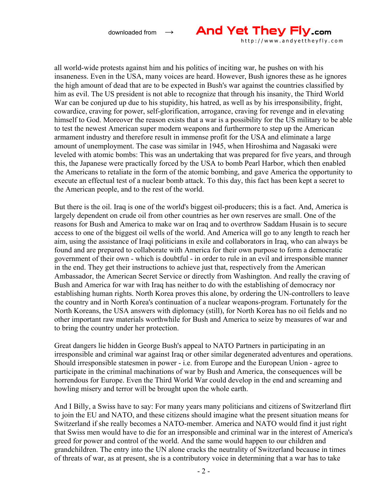

all world-wide protests against him and his politics of inciting war, he pushes on with his insaneness. Even in the USA, many voices are heard. However, Bush ignores these as he ignores the high amount of dead that are to be expected in Bush's war against the countries classified by him as evil. The US president is not able to recognize that through his insanity, the Third World War can be conjured up due to his stupidity, his hatred, as well as by his irresponsibility, fright, cowardice, craving for power, self-glorification, arrogance, craving for revenge and in elevating himself to God. Moreover the reason exists that a war is a possibility for the US military to be able to test the newest American super modern weapons and furthermore to step up the American armament industry and therefore result in immense profit for the USA and eliminate a large amount of unemployment. The case was similar in 1945, when Hiroshima and Nagasaki were leveled with atomic bombs: This was an undertaking that was prepared for five years, and through this, the Japanese were practically forced by the USA to bomb Pearl Harbor, which then enabled the Americans to retaliate in the form of the atomic bombing, and gave America the opportunity to execute an effectual test of a nuclear bomb attack. To this day, this fact has been kept a secret to the American people, and to the rest of the world.

But there is the oil. Iraq is one of the world's biggest oil-producers; this is a fact. And, America is largely dependent on crude oil from other countries as her own reserves are small. One of the reasons for Bush and America to make war on Iraq and to overthrow Saddam Husain is to secure access to one of the biggest oil wells of the world. And America will go to any length to reach her aim, using the assistance of Iraqi politicians in exile and collaborators in Iraq, who can always be found and are prepared to collaborate with America for their own purpose to form a democratic government of their own - which is doubtful - in order to rule in an evil and irresponsible manner in the end. They get their instructions to achieve just that, respectively from the American Ambassador, the American Secret Service or directly from Washington. And really the craving of Bush and America for war with Iraq has neither to do with the establishing of democracy nor establishing human rights. North Korea proves this alone, by ordering the UN-controllers to leave the country and in North Korea's continuation of a nuclear weapons-program. Fortunately for the North Koreans, the USA answers with diplomacy (still), for North Korea has no oil fields and no other important raw materials worthwhile for Bush and America to seize by measures of war and to bring the country under her protection.

Great dangers lie hidden in George Bush's appeal to NATO Partners in participating in an irresponsible and criminal war against Iraq or other similar degenerated adventures and operations. Should irresponsible statesmen in power - i.e. from Europe and the European Union - agree to participate in the criminal machinations of war by Bush and America, the consequences will be horrendous for Europe. Even the Third World War could develop in the end and screaming and howling misery and terror will be brought upon the whole earth.

And I Billy, a Swiss have to say: For many years many politicians and citizens of Switzerland flirt to join the EU and NATO, and these citizens should imagine what the present situation means for Switzerland if she really becomes a NATO-member. America and NATO would find it just right that Swiss men would have to die for an irresponsible and criminal war in the interest of America's greed for power and control of the world. And the same would happen to our children and grandchildren. The entry into the UN alone cracks the neutrality of Switzerland because in times of threats of war, as at present, she is a contributory voice in determining that a war has to take